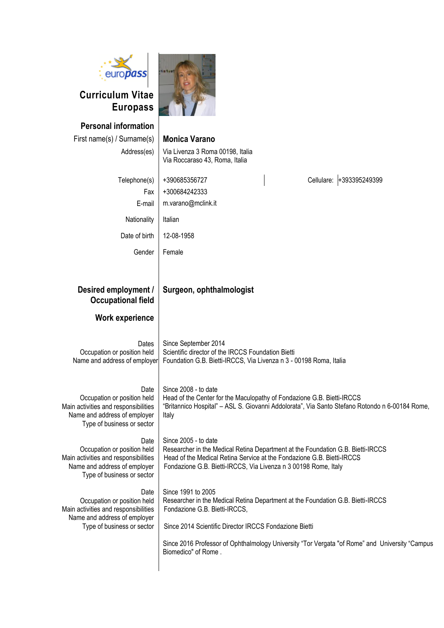| euro <b>pass</b><br><b>Curriculum Vitae</b><br><b>Europass</b>                                                                            |                                                                                                                                                                                                                                                      |  |  |  |  |  |  |
|-------------------------------------------------------------------------------------------------------------------------------------------|------------------------------------------------------------------------------------------------------------------------------------------------------------------------------------------------------------------------------------------------------|--|--|--|--|--|--|
| <b>Personal information</b>                                                                                                               |                                                                                                                                                                                                                                                      |  |  |  |  |  |  |
| First name(s) / Surname(s)                                                                                                                | <b>Monica Varano</b>                                                                                                                                                                                                                                 |  |  |  |  |  |  |
| Address(es)                                                                                                                               | Via Livenza 3 Roma 00198, Italia<br>Via Roccaraso 43, Roma, Italia                                                                                                                                                                                   |  |  |  |  |  |  |
| Telephone(s)                                                                                                                              | +393395249399<br>+390685356727<br>Cellulare:                                                                                                                                                                                                         |  |  |  |  |  |  |
| Fax                                                                                                                                       | +300684242333                                                                                                                                                                                                                                        |  |  |  |  |  |  |
| E-mail                                                                                                                                    | m.varano@mclink.it                                                                                                                                                                                                                                   |  |  |  |  |  |  |
| Nationality                                                                                                                               | Italian                                                                                                                                                                                                                                              |  |  |  |  |  |  |
| Date of birth                                                                                                                             | 12-08-1958                                                                                                                                                                                                                                           |  |  |  |  |  |  |
| Gender                                                                                                                                    | Female                                                                                                                                                                                                                                               |  |  |  |  |  |  |
| Desired employment /<br><b>Occupational field</b>                                                                                         | Surgeon, ophthalmologist                                                                                                                                                                                                                             |  |  |  |  |  |  |
|                                                                                                                                           |                                                                                                                                                                                                                                                      |  |  |  |  |  |  |
| <b>Work experience</b>                                                                                                                    |                                                                                                                                                                                                                                                      |  |  |  |  |  |  |
| Dates<br>Occupation or position held<br>Name and address of employer                                                                      | Since September 2014<br>Scientific director of the IRCCS Foundation Bietti<br>Foundation G.B. Bietti-IRCCS, Via Livenza n 3 - 00198 Roma, Italia                                                                                                     |  |  |  |  |  |  |
| Date<br>Occupation or position held<br>Main activities and responsibilities<br>Name and address of employer<br>Type of business or sector | Since 2008 - to date<br>Head of the Center for the Maculopathy of Fondazione G.B. Bietti-IRCCS<br>"Britannico Hospital" - ASL S. Giovanni Addolorata", Via Santo Stefano Rotondo n 6-00184 Rome,<br>Italy                                            |  |  |  |  |  |  |
| Date<br>Occupation or position held<br>Main activities and responsibilities<br>Name and address of employer<br>Type of business or sector | Since 2005 - to date<br>Researcher in the Medical Retina Department at the Foundation G.B. Bietti-IRCCS<br>Head of the Medical Retina Service at the Fondazione G.B. Bietti-IRCCS<br>Fondazione G.B. Bietti-IRCCS, Via Livenza n 3 00198 Rome, Italy |  |  |  |  |  |  |
| Date<br>Occupation or position held<br>Main activities and responsibilities<br>Name and address of employer                               | Since 1991 to 2005<br>Researcher in the Medical Retina Department at the Foundation G.B. Bietti-IRCCS<br>Fondazione G.B. Bietti-IRCCS,                                                                                                               |  |  |  |  |  |  |
| Type of business or sector                                                                                                                | Since 2014 Scientific Director IRCCS Fondazione Bietti                                                                                                                                                                                               |  |  |  |  |  |  |
|                                                                                                                                           | Since 2016 Professor of Ophthalmology University "Tor Vergata "of Rome" and University "Campus<br>Biomedico" of Rome.                                                                                                                                |  |  |  |  |  |  |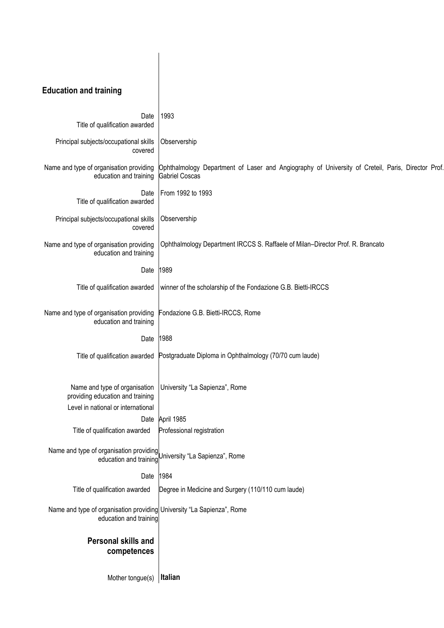# **Education and training**

| Date<br>Title of qualification awarded                                                                  | 1993                                                                                                                       |  |  |  |  |  |  |
|---------------------------------------------------------------------------------------------------------|----------------------------------------------------------------------------------------------------------------------------|--|--|--|--|--|--|
| Principal subjects/occupational skills<br>covered                                                       | Observership                                                                                                               |  |  |  |  |  |  |
| Name and type of organisation providing<br>education and training                                       | Ophthalmology Department of Laser and Angiography of University of Creteil, Paris, Director Prof.<br><b>Gabriel Coscas</b> |  |  |  |  |  |  |
| Date<br>Title of qualification awarded                                                                  | From 1992 to 1993                                                                                                          |  |  |  |  |  |  |
| Principal subjects/occupational skills<br>covered                                                       | Observership                                                                                                               |  |  |  |  |  |  |
| Name and type of organisation providing<br>education and training                                       | Ophthalmology Department IRCCS S. Raffaele of Milan-Director Prof. R. Brancato                                             |  |  |  |  |  |  |
| Date                                                                                                    | 1989                                                                                                                       |  |  |  |  |  |  |
| Title of qualification awarded                                                                          | winner of the scholarship of the Fondazione G.B. Bietti-IRCCS                                                              |  |  |  |  |  |  |
| Name and type of organisation providing<br>education and training                                       | Fondazione G.B. Bietti-IRCCS, Rome                                                                                         |  |  |  |  |  |  |
| Date                                                                                                    | 1988                                                                                                                       |  |  |  |  |  |  |
|                                                                                                         | Title of qualification awarded Postgraduate Diploma in Ophthalmology (70/70 cum laude)                                     |  |  |  |  |  |  |
| Name and type of organisation<br>providing education and training<br>Level in national or international | University "La Sapienza", Rome                                                                                             |  |  |  |  |  |  |
| Date                                                                                                    | April 1985                                                                                                                 |  |  |  |  |  |  |
| Title of qualification awarded                                                                          | Professional registration                                                                                                  |  |  |  |  |  |  |
| Name and type of organisation providing<br>education and training                                       | University "La Sapienza", Rome                                                                                             |  |  |  |  |  |  |
| Date                                                                                                    | 1984                                                                                                                       |  |  |  |  |  |  |
| Title of qualification awarded                                                                          | Degree in Medicine and Surgery (110/110 cum laude)                                                                         |  |  |  |  |  |  |
| Name and type of organisation providing University "La Sapienza", Rome<br>education and training        |                                                                                                                            |  |  |  |  |  |  |
| <b>Personal skills and</b>                                                                              |                                                                                                                            |  |  |  |  |  |  |
| competences                                                                                             |                                                                                                                            |  |  |  |  |  |  |
| Mother tongue(s)                                                                                        | Italian                                                                                                                    |  |  |  |  |  |  |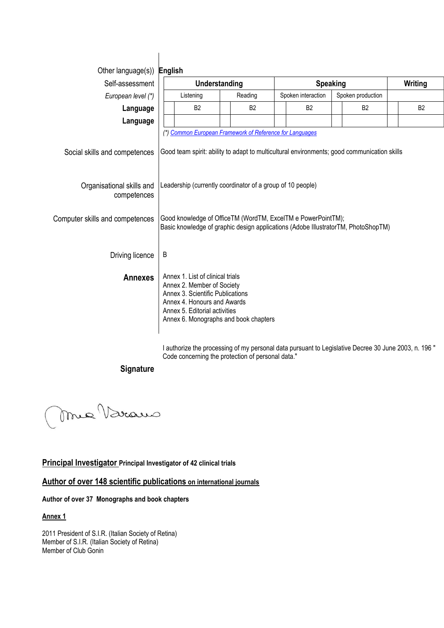| Other language(s)) English               |                                                                                                                                                                                                             |           |                                         |                                                                                             |           |  |
|------------------------------------------|-------------------------------------------------------------------------------------------------------------------------------------------------------------------------------------------------------------|-----------|-----------------------------------------|---------------------------------------------------------------------------------------------|-----------|--|
| Self-assessment                          | Understanding                                                                                                                                                                                               |           | <b>Speaking</b>                         |                                                                                             | Writing   |  |
| European level (*)                       | Reading<br>Listening                                                                                                                                                                                        |           | Spoken interaction<br>Spoken production |                                                                                             |           |  |
| Language                                 | B <sub>2</sub>                                                                                                                                                                                              | <b>B2</b> | <b>B2</b>                               | <b>B2</b>                                                                                   | <b>B2</b> |  |
| Language                                 |                                                                                                                                                                                                             |           |                                         |                                                                                             |           |  |
| Social skills and competences            | (*) Common European Framework of Reference for Languages                                                                                                                                                    |           |                                         | Good team spirit: ability to adapt to multicultural environments; good communication skills |           |  |
| Organisational skills and<br>competences | Leadership (currently coordinator of a group of 10 people)                                                                                                                                                  |           |                                         |                                                                                             |           |  |
| Computer skills and competences          | Good knowledge of OfficeTM (WordTM, ExcelTM e PowerPointTM);<br>Basic knowledge of graphic design applications (Adobe IllustratorTM, PhotoShopTM)                                                           |           |                                         |                                                                                             |           |  |
| Driving licence                          | B                                                                                                                                                                                                           |           |                                         |                                                                                             |           |  |
| <b>Annexes</b>                           | Annex 1. List of clinical trials<br>Annex 2. Member of Society<br>Annex 3. Scientific Publications<br>Annex 4. Honours and Awards<br>Annex 5. Editorial activities<br>Annex 6. Monographs and book chapters |           |                                         |                                                                                             |           |  |

I authorize the processing of my personal data pursuant to Legislative Decree 30 June 2003, n. 196 " Code concerning the protection of personal data."

### **Signature**

Mre Varaus

#### **Principal Investigator Principal Investigator of 42 clinical trials**

## **Author of over 148 scientific publications on international journals**

#### **Author of over 37 Monographs and book chapters**

#### **Annex 1**

2011 President of S.I.R. (Italian Society of Retina) Member of S.I.R. (Italian Society of Retina) Member of Club Gonin